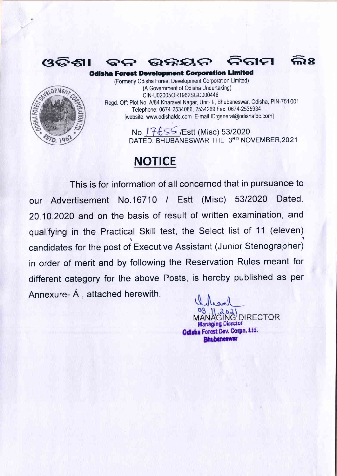

 $(3$ ତିଶା

(Formerly Odisha Forest Development Corporation Limited) (A Government of Odisha Undertaking) CIN-U02005OR1962SGC000446 Regd. Off: Plot No. A/84 Kharavel Nagar, Unit-III, Bhubaneswar, Odisha, PIN-751001 Telephone:-0674-2534086, 2534269 Fax: 0674-2535934 [website: www.odishafdc.com E-mail ID:general@odishafdc.com]

요요성신

**Odisha Forest Development Corporation Limited** 

No. 7655 / Est (Misc) 53/2020 DATED: BHUBANESWAR THE 3RD NOVEMBER, 2021

**602** 

iara

## **NOTICE**

2G

This is for information of all concerned that in pursuance to our Advertisement No.16710 / Estt (Misc) 53/2020 Dated. 20.10.2020 and on the basis of result of written examination, and qualifying in the Practical Skill test, the Select list of 11 (eleven) candidates for the post of Executive Assistant (Junior Stenographer) in order of merit and by following the Reservation Rules meant for different category for the above Posts, is hereby published as per Annexure- A, attached herewith.

GING DIRECTOR **Managing Director Odisha Forest Dev. Corpn. Ltd. Bhubaneswar**